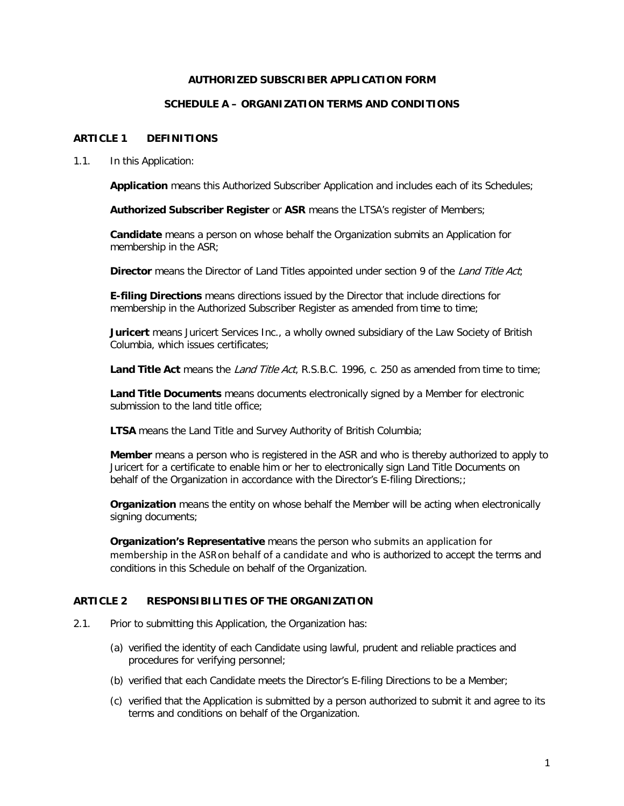# **AUTHORIZED SUBSCRIBER APPLICATION FORM**

# **SCHEDULE A – ORGANIZATION TERMS AND CONDITIONS**

# **ARTICLE 1 DEFINITIONS**

1.1. In this Application:

**Application** means this Authorized Subscriber Application and includes each of its Schedules;

**Authorized Subscriber Register** or **ASR** means the LTSA's register of Members;

**Candidate** means a person on whose behalf the Organization submits an Application for membership in the ASR;

**Director** means the Director of Land Titles appointed under section 9 of the *Land Title Act*;

**E-filing Directions** means directions issued by the Director that include directions for membership in the Authorized Subscriber Register as amended from time to time;

**Juricert** means Juricert Services Inc., a wholly owned subsidiary of the Law Society of British Columbia, which issues certificates;

Land Title Act means the *Land Title Act*, R.S.B.C. 1996, c. 250 as amended from time to time;

**Land Title Documents** means documents electronically signed by a Member for electronic submission to the land title office;

**LTSA** means the Land Title and Survey Authority of British Columbia;

**Member** means a person who is registered in the ASR and who is thereby authorized to apply to Juricert for a certificate to enable him or her to electronically sign Land Title Documents on behalf of the Organization in accordance with the Director's E-filing Directions;

**Organization** means the entity on whose behalf the Member will be acting when electronically signing documents;

**Organization's Representative** means the person who submits an application for membership in the ASRon behalf of a candidate and who is authorized to accept the terms and conditions in this Schedule on behalf of the Organization.

# **ARTICLE 2 RESPONSIBILITIES OF THE ORGANIZATION**

- 2.1. Prior to submitting this Application, the Organization has:
	- (a) verified the identity of each Candidate using lawful, prudent and reliable practices and procedures for verifying personnel;
	- (b) verified that each Candidate meets the Director's E-filing Directions to be a Member;
	- (c) verified that the Application is submitted by a person authorized to submit it and agree to its terms and conditions on behalf of the Organization.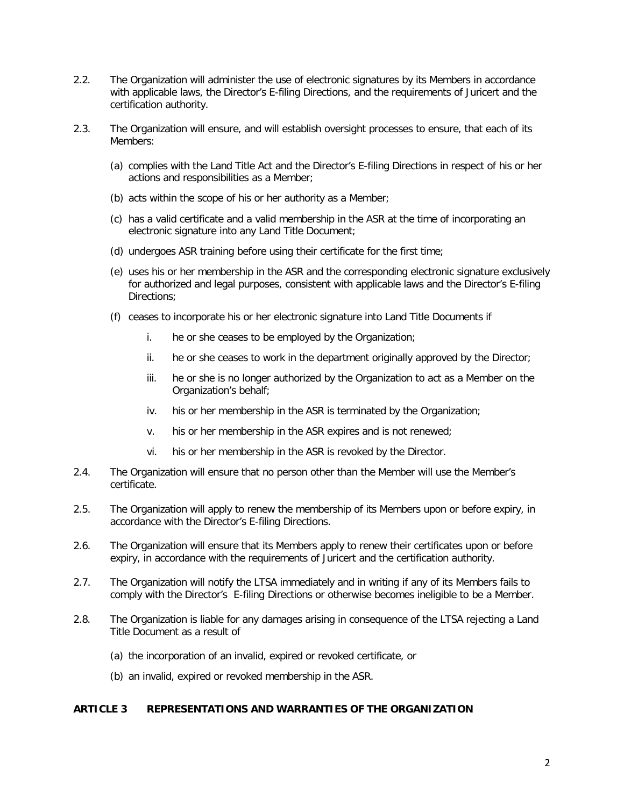- 2.2. The Organization will administer the use of electronic signatures by its Members in accordance with applicable laws, the Director's E-filing Directions, and the requirements of Juricert and the certification authority.
- 2.3. The Organization will ensure, and will establish oversight processes to ensure, that each of its Members:
	- (a) complies with the Land Title Act and the Director's E-filing Directions in respect of his or her actions and responsibilities as a Member;
	- (b) acts within the scope of his or her authority as a Member;
	- (c) has a valid certificate and a valid membership in the ASR at the time of incorporating an electronic signature into any Land Title Document;
	- (d) undergoes ASR training before using their certificate for the first time;
	- (e) uses his or her membership in the ASR and the corresponding electronic signature exclusively for authorized and legal purposes, consistent with applicable laws and the Director's E-filing Directions;
	- (f) ceases to incorporate his or her electronic signature into Land Title Documents if
		- i. he or she ceases to be employed by the Organization;
		- ii. he or she ceases to work in the department originally approved by the Director;
		- iii. he or she is no longer authorized by the Organization to act as a Member on the Organization's behalf;
		- iv. his or her membership in the ASR is terminated by the Organization;
		- v. his or her membership in the ASR expires and is not renewed;
		- vi. his or her membership in the ASR is revoked by the Director.
- 2.4. The Organization will ensure that no person other than the Member will use the Member's certificate.
- 2.5. The Organization will apply to renew the membership of its Members upon or before expiry, in accordance with the Director's E-filing Directions.
- 2.6. The Organization will ensure that its Members apply to renew their certificates upon or before expiry, in accordance with the requirements of Juricert and the certification authority.
- 2.7. The Organization will notify the LTSA immediately and in writing if any of its Members fails to comply with the Director's E-filing Directions or otherwise becomes ineligible to be a Member.
- 2.8. The Organization is liable for any damages arising in consequence of the LTSA rejecting a Land Title Document as a result of
	- (a) the incorporation of an invalid, expired or revoked certificate, or
	- (b) an invalid, expired or revoked membership in the ASR.

#### **ARTICLE 3 REPRESENTATIONS AND WARRANTIES OF THE ORGANIZATION**